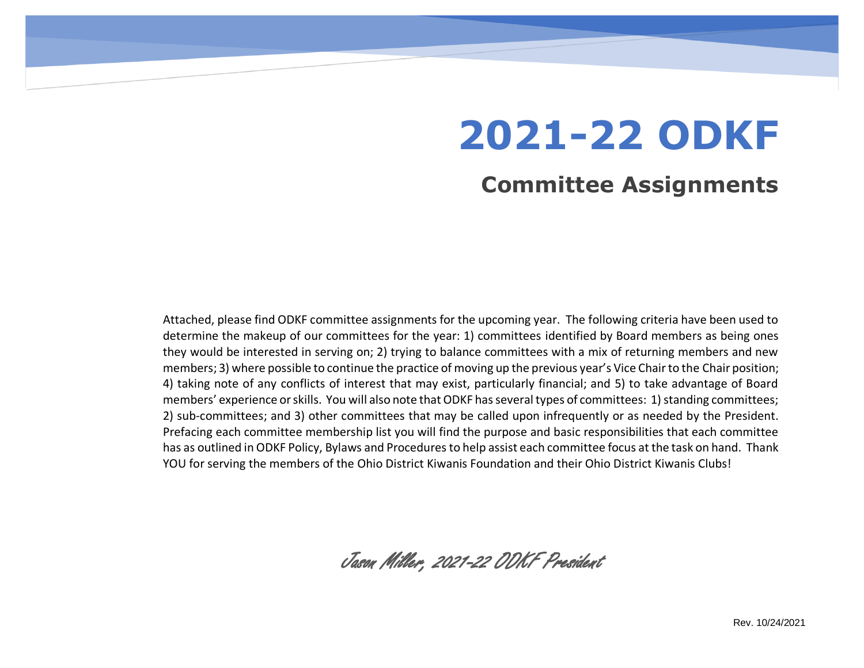# **2021-22 ODKF**

### **Committee Assignments**

Attached, please find ODKF committee assignments for the upcoming year. The following criteria have been used to determine the makeup of our committees for the year: 1) committees identified by Board members as being ones they would be interested in serving on; 2) trying to balance committees with a mix of returning members and new members; 3) where possible to continue the practice of moving up the previous year's Vice Chair to the Chair position; 4) taking note of any conflicts of interest that may exist, particularly financial; and 5) to take advantage of Board members' experience or skills. You will also note that ODKF has several types of committees: 1) standing committees; 2) sub-committees; and 3) other committees that may be called upon infrequently or as needed by the President. Prefacing each committee membership list you will find the purpose and basic responsibilities that each committee has as outlined in ODKF Policy, Bylaws and Procedures to help assist each committee focus at the task on hand. Thank YOU for serving the members of the Ohio District Kiwanis Foundation and their Ohio District Kiwanis Clubs!

Jason Miller, 2021-22 ODKF President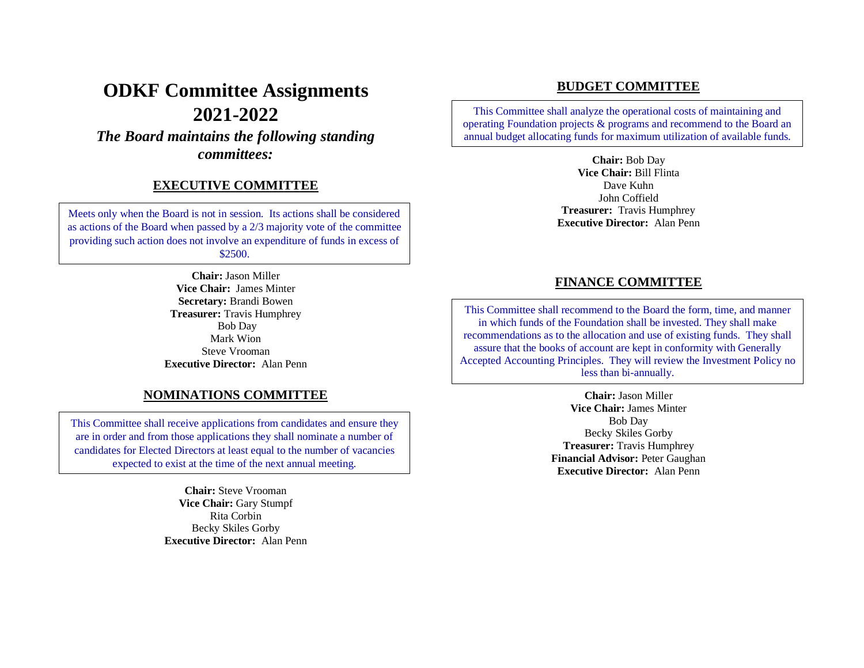## **ODKF Committee Assignments 2021-2022**

*The Board maintains the following standing committees:*

#### **EXECUTIVE COMMITTEE**

Meets only when the Board is not in session. Its actions shall be considered as actions of the Board when passed by a 2/3 majority vote of the committee providing such action does not involve an expenditure of funds in excess of \$2500.

> **Chair:** Jason Miller **Vice Chair:** James Minter **Secretary:** Brandi Bowen **Treasurer:** Travis Humphrey Bob Day Mark Wion Steve Vrooman **Executive Director:** Alan Penn

#### **NOMINATIONS COMMITTEE**

This Committee shall receive applications from candidates and ensure they are in order and from those applications they shall nominate a number of candidates for Elected Directors at least equal to the number of vacancies expected to exist at the time of the next annual meeting.

> **Chair:** Steve Vrooman **Vice Chair:** Gary Stumpf Rita Corbin Becky Skiles Gorby **Executive Director:** Alan Penn

#### **BUDGET COMMITTEE**

This Committee shall analyze the operational costs of maintaining and operating Foundation projects & programs and recommend to the Board an annual budget allocating funds for maximum utilization of available funds.

> **Chair:** Bob Day **Vice Chair:** Bill Flinta Dave Kuhn John Coffield **Treasurer:** Travis Humphrey **Executive Director:** Alan Penn

#### **FINANCE COMMITTEE**

This Committee shall recommend to the Board the form, time, and manner in which funds of the Foundation shall be invested. They shall make recommendations as to the allocation and use of existing funds. They shall assure that the books of account are kept in conformity with Generally Accepted Accounting Principles. They will review the Investment Policy no less than bi-annually.

> **Chair:** Jason Miller **Vice Chair:** James Minter Bob Day Becky Skiles Gorby **Treasurer:** Travis Humphrey **Financial Advisor:** Peter Gaughan **Executive Director:** Alan Penn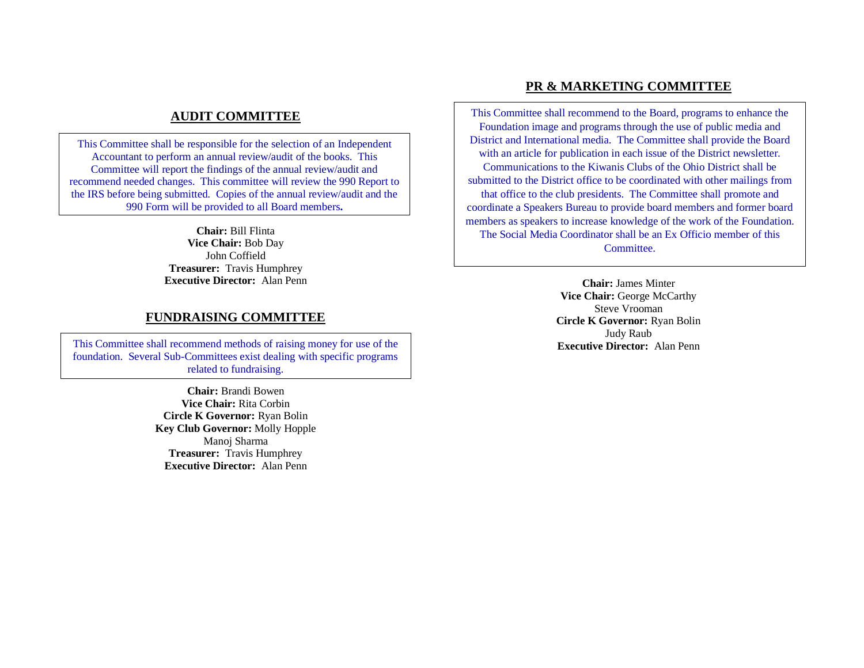#### **AUDIT COMMITTEE**

This Committee shall be responsible for the selection of an Independent Accountant to perform an annual review/audit of the books. This Committee will report the findings of the annual review/audit and recommend needed changes. This committee will review the 990 Report to the IRS before being submitted. Copies of the annual review/audit and the 990 Form will be provided to all Board members**.**

> **Chair:** Bill Flinta **Vice Chair:** Bob Day John Coffield **Treasurer:** Travis Humphrey **Executive Director:** Alan Penn

#### **FUNDRAISING COMMITTEE**

This Committee shall recommend methods of raising money for use of the **Executive Director:** Alan Penn foundation. Several Sub-Committees exist dealing with specific programs related to fundraising.

> **Chair:** Brandi Bowen **Vice Chair:** Rita Corbin **Circle K Governor:** Ryan Bolin **Key Club Governor:** Molly Hopple Manoj Sharma **Treasurer:** Travis Humphrey **Executive Director:** Alan Penn

#### **PR & MARKETING COMMITTEE**

This Committee shall recommend to the Board, programs to enhance the Foundation image and programs through the use of public media and District and International media. The Committee shall provide the Board with an article for publication in each issue of the District newsletter. Communications to the Kiwanis Clubs of the Ohio District shall be submitted to the District office to be coordinated with other mailings from that office to the club presidents. The Committee shall promote and coordinate a Speakers Bureau to provide board members and former board members as speakers to increase knowledge of the work of the Foundation. The Social Media Coordinator shall be an Ex Officio member of this Committee.

> **Chair:** James Minter **Vice Chair:** George McCarthy Steve Vrooman **Circle K Governor:** Ryan Bolin Judy Raub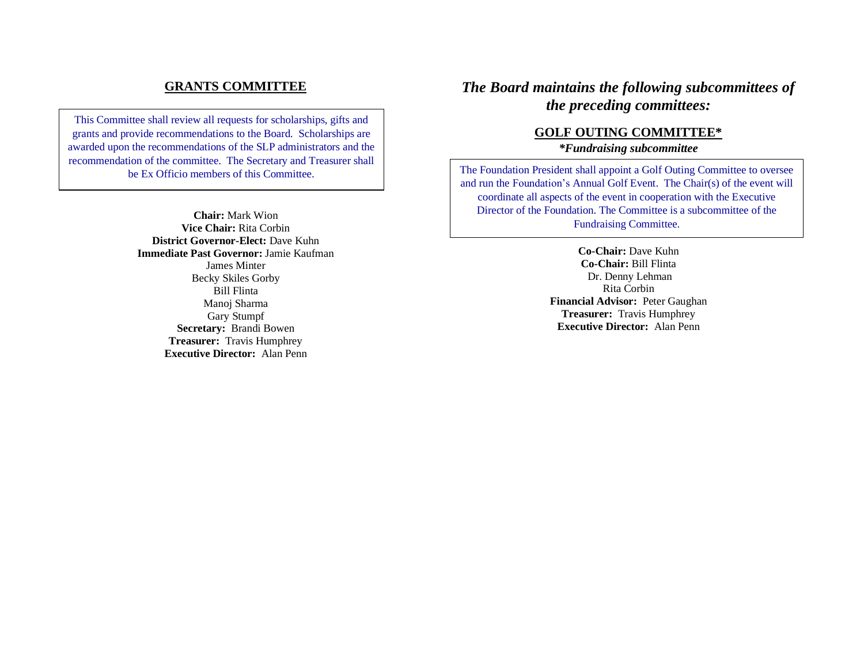#### **GRANTS COMMITTEE**

This Committee shall review all requests for scholarships, gifts and grants and provide recommendations to the Board. Scholarships are awarded upon the recommendations of the SLP administrators and the recommendation of the committee. The Secretary and Treasurer shall be Ex Officio members of this Committee.

> **Chair:** Mark Wion **Vice Chair:** Rita Corbin **District Governor-Elect:** Dave Kuhn **Immediate Past Governor:** Jamie Kaufman James Minter Becky Skiles Gorby Bill Flinta Manoj Sharma Gary Stumpf **Secretary:** Brandi Bowen **Treasurer:** Travis Humphrey **Executive Director:** Alan Penn

#### *The Board maintains the following subcommittees of the preceding committees:*

#### **GOLF OUTING COMMITTEE\***

*\*Fundraising subcommittee* 

The Foundation President shall appoint a Golf Outing Committee to oversee and run the Foundation's Annual Golf Event. The Chair(s) of the event will coordinate all aspects of the event in cooperation with the Executive Director of the Foundation. The Committee is a subcommittee of the Fundraising Committee.

> **Co-Chair:** Dave Kuhn **Co-Chair:** Bill Flinta Dr. Denny Lehman Rita Corbin **Financial Advisor:** Peter Gaughan **Treasurer:** Travis Humphrey **Executive Director:** Alan Penn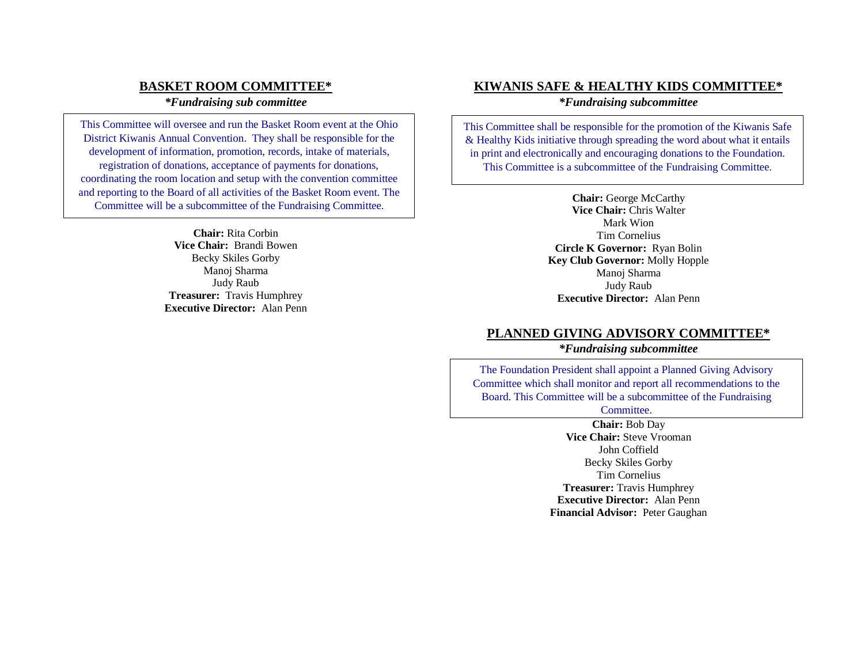#### **BASKET ROOM COMMITTEE\***

#### *\*Fundraising sub committee*

This Committee will oversee and run the Basket Room event at the Ohio District Kiwanis Annual Convention. They shall be responsible for the development of information, promotion, records, intake of materials, registration of donations, acceptance of payments for donations, coordinating the room location and setup with the convention committee and reporting to the Board of all activities of the Basket Room event. The Committee will be a subcommittee of the Fundraising Committee.

> **Chair:** Rita Corbin **Vice Chair:** Brandi Bowen Becky Skiles Gorby Manoj Sharma Judy Raub **Treasurer:** Travis Humphrey **Executive Director:** Alan Penn

#### **KIWANIS SAFE & HEALTHY KIDS COMMITTEE\***

*\*Fundraising subcommittee* 

This Committee shall be responsible for the promotion of the Kiwanis Safe & Healthy Kids initiative through spreading the word about what it entails in print and electronically and encouraging donations to the Foundation. This Committee is a subcommittee of the Fundraising Committee.

> **Chair:** George McCarthy **Vice Chair:** Chris Walter Mark Wion Tim Cornelius **Circle K Governor:** Ryan Bolin **Key Club Governor:** Molly Hopple Manoj Sharma Judy Raub **Executive Director:** Alan Penn

#### **PLANNED GIVING ADVISORY COMMITTEE\***

*\*Fundraising subcommittee* 

The Foundation President shall appoint a Planned Giving Advisory Committee which shall monitor and report all recommendations to the Board. This Committee will be a subcommittee of the Fundraising

Committee.

**Chair:** Bob Day **Vice Chair:** Steve Vrooman John Coffield Becky Skiles Gorby Tim Cornelius **Treasurer:** Travis Humphrey **Executive Director:** Alan Penn **Financial Advisor:** Peter Gaughan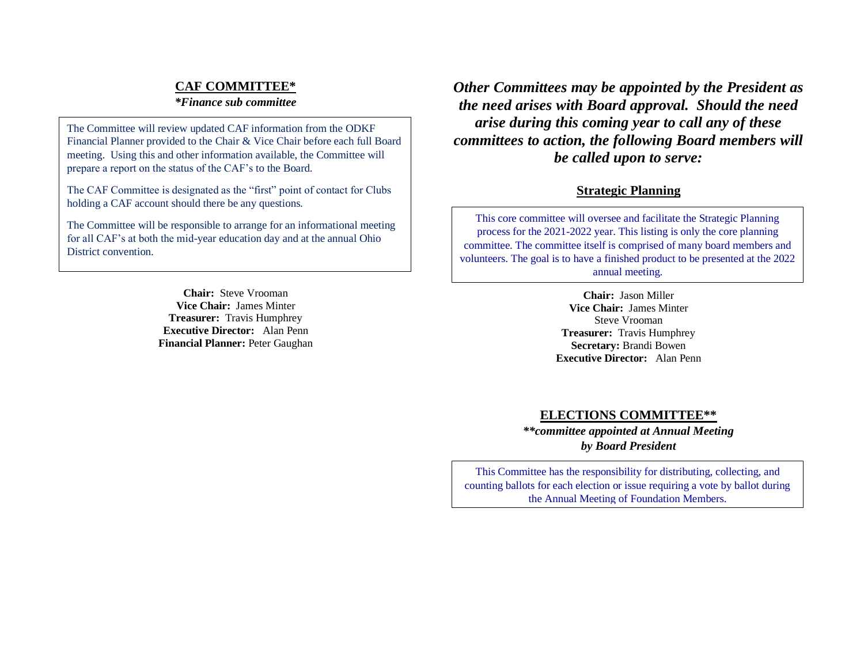#### **CAF COMMITTEE\***

#### *\*Finance sub committee*

The Committee will review updated CAF information from the ODKF Financial Planner provided to the Chair & Vice Chair before each full Board meeting. Using this and other information available, the Committee will prepare a report on the status of the CAF's to the Board.

The CAF Committee is designated as the "first" point of contact for Clubs holding a CAF account should there be any questions.

The Committee will be responsible to arrange for an informational meeting for all CAF's at both the mid-year education day and at the annual Ohio District convention.

> **Chair:** Steve Vrooman **Vice Chair:** James Minter **Treasurer:** Travis Humphrey **Executive Director:** Alan Penn **Financial Planner:** Peter Gaughan

*Other Committees may be appointed by the President as the need arises with Board approval. Should the need arise during this coming year to call any of these committees to action, the following Board members will be called upon to serve:*

#### **Strategic Planning**

This core committee will oversee and facilitate the Strategic Planning process for the 2021-2022 year. This listing is only the core planning committee. The committee itself is comprised of many board members and volunteers. The goal is to have a finished product to be presented at the 2022 annual meeting.

> **Chair:** Jason Miller **Vice Chair:** James Minter Steve Vrooman **Treasurer:** Travis Humphrey **Secretary:** Brandi Bowen **Executive Director:** Alan Penn

#### **ELECTIONS COMMITTEE\*\***

*\*\*committee appointed at Annual Meeting by Board President*

This Committee has the responsibility for distributing, collecting, and counting ballots for each election or issue requiring a vote by ballot during the Annual Meeting of Foundation Members.